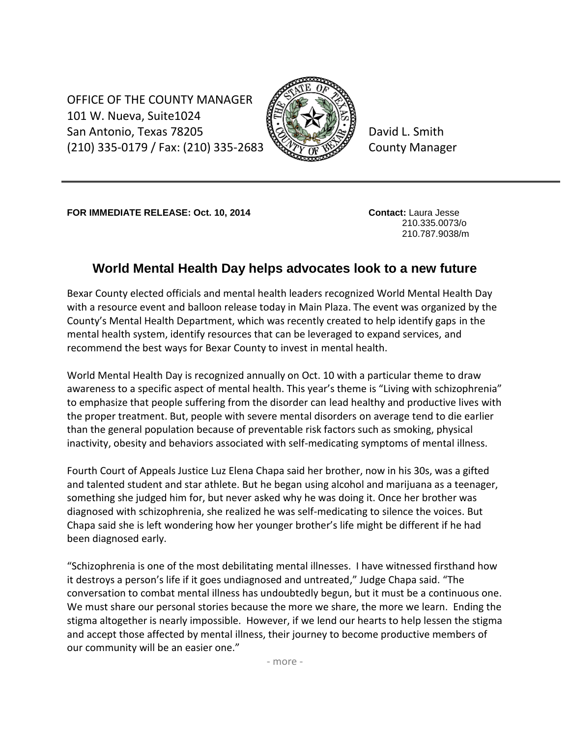OFFICE OF THE COUNTY MANAGER 101 W. Nueva, Suite1024 San Antonio, Texas 78205 **Best Allen Antonio**, Texas 78205  $(210)$  335-0179 / Fax: (210) 335-2683  $\sqrt{\sqrt[3]{\gamma}}$   $\sqrt[3]{\gamma}$  County Manager



**FOR IMMEDIATE RELEASE: Oct. 10, 2014 Contact:** Laura Jesse

210.335.0073/o 210.787.9038/m

## **World Mental Health Day helps advocates look to a new future**

Bexar County elected officials and mental health leaders recognized World Mental Health Day with a resource event and balloon release today in Main Plaza. The event was organized by the County's Mental Health Department, which was recently created to help identify gaps in the mental health system, identify resources that can be leveraged to expand services, and recommend the best ways for Bexar County to invest in mental health.

World Mental Health Day is recognized annually on Oct. 10 with a particular theme to draw awareness to a specific aspect of mental health. This year's theme is "Living with schizophrenia" to emphasize that people suffering from the disorder can lead healthy and productive lives with the proper treatment. But, people with severe mental disorders on average tend to die earlier than the general population because of preventable risk factors such as smoking, physical inactivity, obesity and behaviors associated with self-medicating symptoms of mental illness.

Fourth Court of Appeals Justice Luz Elena Chapa said her brother, now in his 30s, was a gifted and talented student and star athlete. But he began using alcohol and marijuana as a teenager, something she judged him for, but never asked why he was doing it. Once her brother was diagnosed with schizophrenia, she realized he was self-medicating to silence the voices. But Chapa said she is left wondering how her younger brother's life might be different if he had been diagnosed early.

"Schizophrenia is one of the most debilitating mental illnesses. I have witnessed firsthand how it destroys a person's life if it goes undiagnosed and untreated," Judge Chapa said. "The conversation to combat mental illness has undoubtedly begun, but it must be a continuous one. We must share our personal stories because the more we share, the more we learn. Ending the stigma altogether is nearly impossible. However, if we lend our hearts to help lessen the stigma and accept those affected by mental illness, their journey to become productive members of our community will be an easier one."